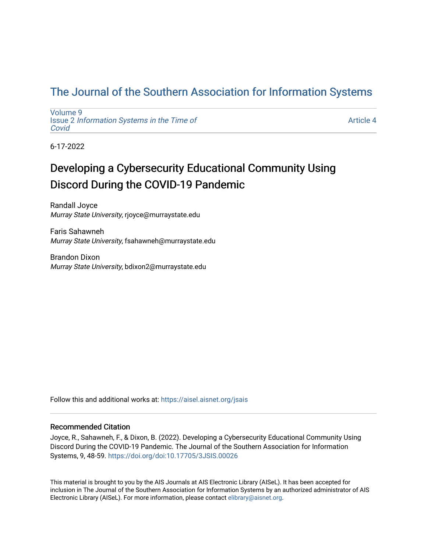# [The Journal of the Southern Association for Information Systems](https://aisel.aisnet.org/jsais)

[Volume 9](https://aisel.aisnet.org/jsais/vol9) Issue 2 [Information Systems in the Time of](https://aisel.aisnet.org/jsais/vol9/iss2)  [Covid](https://aisel.aisnet.org/jsais/vol9/iss2) 

[Article 4](https://aisel.aisnet.org/jsais/vol9/iss2/4) 

6-17-2022

# Developing a Cybersecurity Educational Community Using Discord During the COVID-19 Pandemic

Randall Joyce Murray State University, rjoyce@murraystate.edu

Faris Sahawneh Murray State University, fsahawneh@murraystate.edu

Brandon Dixon Murray State University, bdixon2@murraystate.edu

Follow this and additional works at: [https://aisel.aisnet.org/jsais](https://aisel.aisnet.org/jsais?utm_source=aisel.aisnet.org%2Fjsais%2Fvol9%2Fiss2%2F4&utm_medium=PDF&utm_campaign=PDFCoverPages) 

## Recommended Citation

Joyce, R., Sahawneh, F., & Dixon, B. (2022). Developing a Cybersecurity Educational Community Using Discord During the COVID-19 Pandemic. The Journal of the Southern Association for Information Systems, 9, 48-59.<https://doi.org/doi:10.17705/3JSIS.00026>

This material is brought to you by the AIS Journals at AIS Electronic Library (AISeL). It has been accepted for inclusion in The Journal of the Southern Association for Information Systems by an authorized administrator of AIS Electronic Library (AISeL). For more information, please contact [elibrary@aisnet.org.](mailto:elibrary@aisnet.org%3E)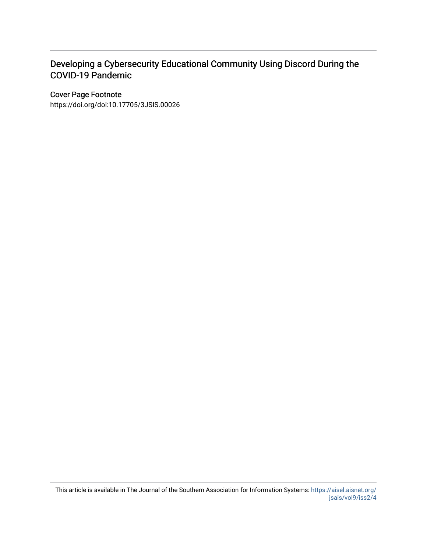# Developing a Cybersecurity Educational Community Using Discord During the COVID-19 Pandemic

## Cover Page Footnote

https://doi.org/doi:10.17705/3JSIS.00026

This article is available in The Journal of the Southern Association for Information Systems: [https://aisel.aisnet.org/](https://aisel.aisnet.org/jsais/vol9/iss2/4) [jsais/vol9/iss2/4](https://aisel.aisnet.org/jsais/vol9/iss2/4)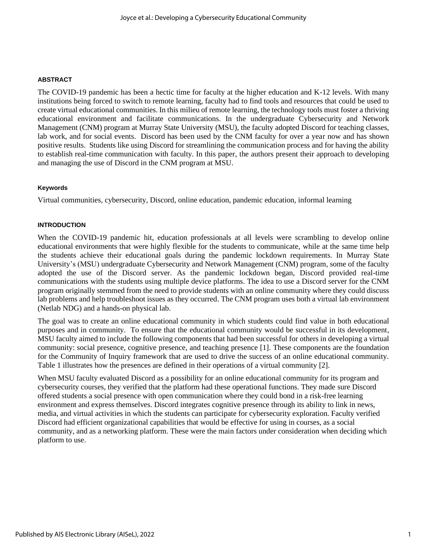#### **ABSTRACT**

The COVID-19 pandemic has been a hectic time for faculty at the higher education and K-12 levels. With many institutions being forced to switch to remote learning, faculty had to find tools and resources that could be used to create virtual educational communities. In this milieu of remote learning, the technology tools must foster a thriving educational environment and facilitate communications. In the undergraduate Cybersecurity and Network Management (CNM) program at Murray State University (MSU), the faculty adopted Discord for teaching classes, lab work, and for social events. Discord has been used by the CNM faculty for over a year now and has shown positive results. Students like using Discord for streamlining the communication process and for having the ability to establish real-time communication with faculty. In this paper, the authors present their approach to developing and managing the use of Discord in the CNM program at MSU.

#### **Keywords**

Virtual communities, cybersecurity, Discord, online education, pandemic education, informal learning

#### **INTRODUCTION**

When the COVID-19 pandemic hit, education professionals at all levels were scrambling to develop online educational environments that were highly flexible for the students to communicate, while at the same time help the students achieve their educational goals during the pandemic lockdown requirements. In Murray State University's (MSU) undergraduate Cybersecurity and Network Management (CNM) program, some of the faculty adopted the use of the Discord server. As the pandemic lockdown began, Discord provided real-time communications with the students using multiple device platforms. The idea to use a Discord server for the CNM program originally stemmed from the need to provide students with an online community where they could discuss lab problems and help troubleshoot issues as they occurred. The CNM program uses both a virtual lab environment (Netlab NDG) and a hands-on physical lab.

The goal was to create an online educational community in which students could find value in both educational purposes and in community. To ensure that the educational community would be successful in its development, MSU faculty aimed to include the following components that had been successful for others in developing a virtual community: social presence, cognitive presence, and teaching presence [1]. These components are the foundation for the Community of Inquiry framework that are used to drive the success of an online educational community. Table 1 illustrates how the presences are defined in their operations of a virtual community [2].

When MSU faculty evaluated Discord as a possibility for an online educational community for its program and cybersecurity courses, they verified that the platform had these operational functions. They made sure Discord offered students a social presence with open communication where they could bond in a risk-free learning environment and express themselves. Discord integrates cognitive presence through its ability to link in news, media, and virtual activities in which the students can participate for cybersecurity exploration. Faculty verified Discord had efficient organizational capabilities that would be effective for using in courses, as a social community, and as a networking platform. These were the main factors under consideration when deciding which platform to use.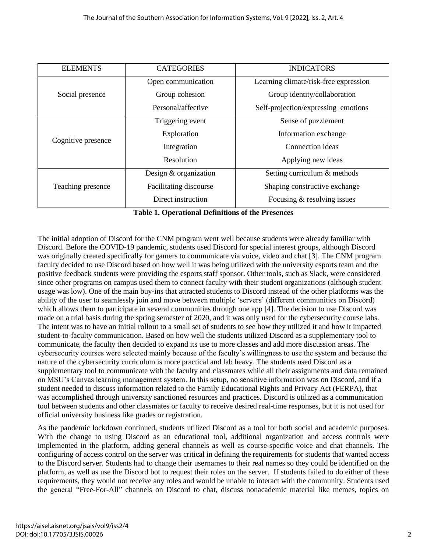| <b>ELEMENTS</b>    | <b>CATEGORIES</b>       | <b>INDICATORS</b>                     |
|--------------------|-------------------------|---------------------------------------|
| Social presence    | Open communication      | Learning climate/risk-free expression |
|                    | Group cohesion          | Group identity/collaboration          |
|                    | Personal/affective      | Self-projection/expressing emotions   |
| Cognitive presence | Triggering event        | Sense of puzzlement                   |
|                    | Exploration             | Information exchange                  |
|                    | Integration             | Connection ideas                      |
|                    | Resolution              | Applying new ideas                    |
| Teaching presence  | Design $&$ organization | Setting curriculum & methods          |
|                    | Facilitating discourse  | Shaping constructive exchange         |
|                    | Direct instruction      | Focusing $&$ resolving issues         |

**Table 1. Operational Definitions of the Presences**

The initial adoption of Discord for the CNM program went well because students were already familiar with Discord. Before the COVID-19 pandemic, students used Discord for special interest groups, although Discord was originally created specifically for gamers to communicate via voice, video and chat [3]. The CNM program faculty decided to use Discord based on how well it was being utilized with the university esports team and the positive feedback students were providing the esports staff sponsor. Other tools, such as Slack, were considered since other programs on campus used them to connect faculty with their student organizations (although student usage was low). One of the main buy-ins that attracted students to Discord instead of the other platforms was the ability of the user to seamlessly join and move between multiple 'servers' (different communities on Discord) which allows them to participate in several communities through one app [4]. The decision to use Discord was made on a trial basis during the spring semester of 2020, and it was only used for the cybersecurity course labs. The intent was to have an initial rollout to a small set of students to see how they utilized it and how it impacted student-to-faculty communication. Based on how well the students utilized Discord as a supplementary tool to communicate, the faculty then decided to expand its use to more classes and add more discussion areas. The cybersecurity courses were selected mainly because of the faculty's willingness to use the system and because the nature of the cybersecurity curriculum is more practical and lab heavy. The students used Discord as a supplementary tool to communicate with the faculty and classmates while all their assignments and data remained on MSU's Canvas learning management system. In this setup, no sensitive information was on Discord, and if a student needed to discuss information related to the Family Educational Rights and Privacy Act (FERPA), that was accomplished through university sanctioned resources and practices. Discord is utilized as a communication tool between students and other classmates or faculty to receive desired real-time responses, but it is not used for official university business like grades or registration.

As the pandemic lockdown continued, students utilized Discord as a tool for both social and academic purposes. With the change to using Discord as an educational tool, additional organization and access controls were implemented in the platform, adding general channels as well as course-specific voice and chat channels. The configuring of access control on the server was critical in defining the requirements for students that wanted access to the Discord server. Students had to change their usernames to their real names so they could be identified on the platform, as well as use the Discord bot to request their roles on the server. If students failed to do either of these requirements, they would not receive any roles and would be unable to interact with the community. Students used the general "Free-For-All" channels on Discord to chat, discuss nonacademic material like memes, topics on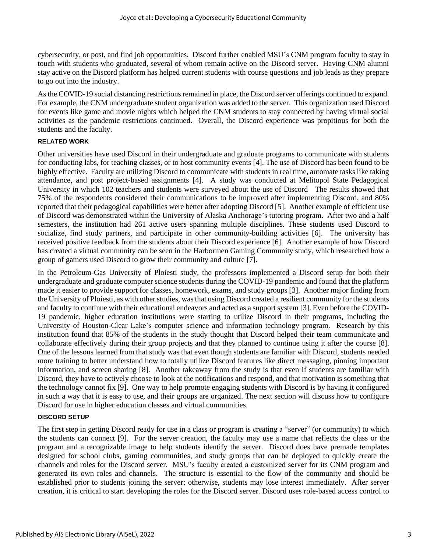cybersecurity, or post, and find job opportunities. Discord further enabled MSU's CNM program faculty to stay in touch with students who graduated, several of whom remain active on the Discord server. Having CNM alumni stay active on the Discord platform has helped current students with course questions and job leads as they prepare to go out into the industry.

As the COVID-19 social distancing restrictions remained in place, the Discord server offerings continued to expand. For example, the CNM undergraduate student organization was added to the server. This organization used Discord for events like game and movie nights which helped the CNM students to stay connected by having virtual social activities as the pandemic restrictions continued. Overall, the Discord experience was propitious for both the students and the faculty.

#### **RELATED WORK**

Other universities have used Discord in their undergraduate and graduate programs to communicate with students for conducting labs, for teaching classes, or to host community events [4]. The use of Discord has been found to be highly effective. Faculty are utilizing Discord to communicate with students in real time, automate tasks like taking attendance, and post project-based assignments [4]. A study was conducted at Melitopol State Pedagogical University in which 102 teachers and students were surveyed about the use of Discord The results showed that 75% of the respondents considered their communications to be improved after implementing Discord, and 80% reported that their pedagogical capabilities were better after adopting Discord [5]. Another example of efficient use of Discord was demonstrated within the University of Alaska Anchorage's tutoring program. After two and a half semesters, the institution had 261 active users spanning multiple disciplines. These students used Discord to socialize, find study partners, and participate in other community-building activities [6]. The university has received positive feedback from the students about their Discord experience [6]. Another example of how Discord has created a virtual community can be seen in the Harbormen Gaming Community study, which researched how a group of gamers used Discord to grow their community and culture [7].

In the Petroleum-Gas University of Ploiesti study, the professors implemented a Discord setup for both their undergraduate and graduate computer science students during the COVID-19 pandemic and found that the platform made it easier to provide support for classes, homework, exams, and study groups [3]. Another major finding from the University of Ploiesti, as with other studies, wasthat using Discord created a resilient community for the students and faculty to continue with their educational endeavors and acted as a support system [3]. Even before the COVID-19 pandemic, higher education institutions were starting to utilize Discord in their programs, including the University of Houston-Clear Lake's computer science and information technology program. Research by this institution found that 85% of the students in the study thought that Discord helped their team communicate and collaborate effectively during their group projects and that they planned to continue using it after the course [8]. One of the lessons learned from that study was that even though students are familiar with Discord, students needed more training to better understand how to totally utilize Discord features like direct messaging, pinning important information, and screen sharing [8]. Another takeaway from the study is that even if students are familiar with Discord, they have to actively choose to look at the notifications and respond, and that motivation is something that the technology cannot fix [9]. One way to help promote engaging students with Discord is by having it configured in such a way that it is easy to use, and their groups are organized. The next section will discuss how to configure Discord for use in higher education classes and virtual communities.

#### **DISCORD SETUP**

The first step in getting Discord ready for use in a class or program is creating a "server" (or community) to which the students can connect [9]. For the server creation, the faculty may use a name that reflects the class or the program and a recognizable image to help students identify the server. Discord does have premade templates designed for school clubs, gaming communities, and study groups that can be deployed to quickly create the channels and roles for the Discord server. MSU's faculty created a customized server for its CNM program and generated its own roles and channels. The structure is essential to the flow of the community and should be established prior to students joining the server; otherwise, students may lose interest immediately. After server creation, it is critical to start developing the roles for the Discord server. Discord uses role-based access control to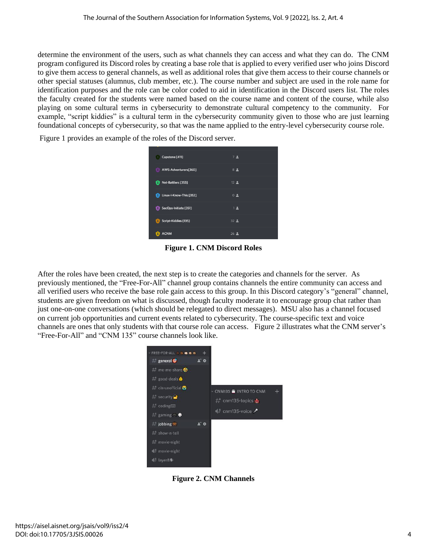determine the environment of the users, such as what channels they can access and what they can do. The CNM program configured its Discord roles by creating a base role that is applied to every verified user who joins Discord to give them access to general channels, as well as additional roles that give them access to their course channels or other special statuses (alumnus, club member, etc.). The course number and subject are used in the role name for identification purposes and the role can be color coded to aid in identification in the Discord users list. The roles the faculty created for the students were named based on the course name and content of the course, while also playing on some cultural terms in cybersecurity to demonstrate cultural competency to the community. For example, "script kiddies" is a cultural term in the cybersecurity community given to those who are just learning foundational concepts of cybersecurity, so that was the name applied to the entry-level cybersecurity course role.

Figure 1 provides an example of the roles of the Discord server.

| Capstone [411]               | 72               |
|------------------------------|------------------|
| AWS-Adventurers[360]<br>B    | 82               |
| Net-Battlers [353]<br>ø      | 12 <sub>2</sub>  |
| Linux-I-Know-This [352]<br>Ø | 0 <sub>2</sub>   |
| SecOps-Initiate [351]        | 1.2              |
| Script-Kiddies [135]<br>Ð    | 32 <sup>2</sup>  |
| <b>ACNM</b><br>E.            | $26$ $\triangle$ |

**Figure 1. CNM Discord Roles**

After the roles have been created, the next step is to create the categories and channels for the server. As previously mentioned, the "Free-For-All" channel group contains channels the entire community can access and all verified users who receive the base role gain access to this group. In this Discord category's "general" channel, students are given freedom on what is discussed, though faculty moderate it to encourage group chat rather than just one-on-one conversations (which should be relegated to direct messages). MSU also has a channel focused on current job opportunities and current events related to cybersecurity. The course-specific text and voice channels are ones that only students with that course role can access. Figure 2 illustrates what the CNM server's "Free-For-All" and "CNM 135" course channels look like.



**Figure 2. CNM Channels**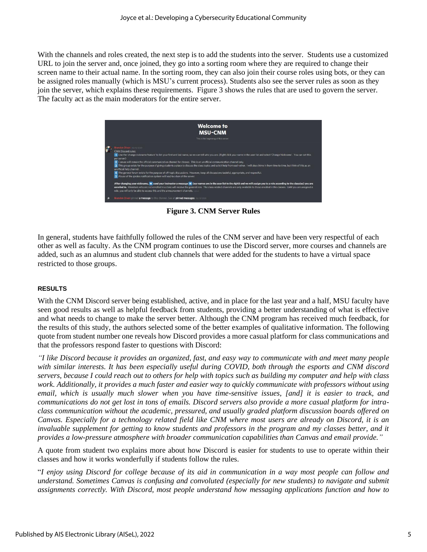With the channels and roles created, the next step is to add the students into the server. Students use a customized URL to join the server and, once joined, they go into a sorting room where they are required to change their screen name to their actual name. In the sorting room, they can also join their course roles using bots, or they can be assigned roles manually (which is MSU's current process). Students also see the server rules as soon as they join the server, which explains these requirements. Figure 3 shows the rules that are used to govern the server. The faculty act as the main moderators for the entire server.



**Figure 3. CNM Server Rules**

In general, students have faithfully followed the rules of the CNM server and have been very respectful of each other as well as faculty. As the CNM program continues to use the Discord server, more courses and channels are added, such as an alumnus and student club channels that were added for the students to have a virtual space restricted to those groups.

#### **RESULTS**

With the CNM Discord server being established, active, and in place for the last year and a half, MSU faculty have seen good results as well as helpful feedback from students, providing a better understanding of what is effective and what needs to change to make the server better. Although the CNM program has received much feedback, for the results of this study, the authors selected some of the better examples of qualitative information. The following quote from student number one reveals how Discord provides a more casual platform for class communications and that the professors respond faster to questions with Discord:

*"I like Discord because it provides an organized, fast, and easy way to communicate with and meet many people with similar interests. It has been especially useful during COVID, both through the esports and CNM discord servers, because I could reach out to others for help with topics such as building my computer and help with class work. Additionally, it provides a much faster and easier way to quickly communicate with professors without using email, which is usually much slower when you have time-sensitive issues, [and] it is easier to track, and communications do not get lost in tons of emails. Discord servers also provide a more casual platform for intraclass communication without the academic, pressured, and usually graded platform discussion boards offered on Canvas. Especially for a technology related field like CNM where most users are already on Discord, it is an*  invaluable supplement for getting to know students and professors in the program and my classes better, and it *provides a low-pressure atmosphere with broader communication capabilities than Canvas and email provide."*

A quote from student two explains more about how Discord is easier for students to use to operate within their classes and how it works wonderfully if students follow the rules.

"*I enjoy using Discord for college because of its aid in communication in a way most people can follow and understand. Sometimes Canvas is confusing and convoluted (especially for new students) to navigate and submit assignments correctly. With Discord, most people understand how messaging applications function and how to*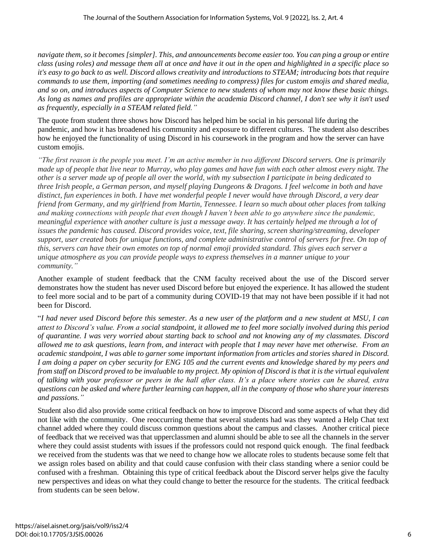*navigate them, so it becomes [simpler]. This, and announcements become easier too. You can ping a group or entire class (using roles) and message them all at once and have it out in the open and highlighted in a specific place so it's easy to go back to as well. Discord allows creativity and introductions to STEAM; introducing bots that require commands to use them, importing (and sometimes needing to compress) files for custom emojis and shared media, and so on, and introduces aspects of Computer Science to new students of whom may not know these basic things. As long as names and profiles are appropriate within the academia Discord channel, I don't see why it isn't used as frequently, especially in a STEAM related field."*

The quote from student three shows how Discord has helped him be social in his personal life during the pandemic, and how it has broadened his community and exposure to different cultures. The student also describes how he enjoyed the functionality of using Discord in his coursework in the program and how the server can have custom emojis.

*"The first reason is the people you meet. I'm an active member in two different Discord servers. One is primarily made up of people that live near to Murray, who play games and have fun with each other almost every night. The other is a server made up of people all over the world, with my subsection I participate in being dedicated to three Irish people, a German person, and myself playing Dungeons & Dragons. I feel welcome in both and have distinct, fun experiences in both. I have met wonderful people I never would have through Discord, a very dear friend from Germany, and my girlfriend from Martin, Tennessee. I learn so much about other places from talking and making connections with people that even though I haven't been able to go anywhere since the pandemic, meaningful experience with another culture is just a message away. It has certainly helped me through a lot of issues the pandemic has caused. Discord provides voice, text, file sharing, screen sharing/streaming, developer support, user created bots for unique functions, and complete administrative control of servers for free. On top of this, servers can have their own emotes on top of normal emoji provided standard. This gives each server a unique atmosphere as you can provide people ways to express themselves in a manner unique to your community."*

Another example of student feedback that the CNM faculty received about the use of the Discord server demonstrates how the student has never used Discord before but enjoyed the experience. It has allowed the student to feel more social and to be part of a community during COVID-19 that may not have been possible if it had not been for Discord.

"*I had never used Discord before this semester. As a new user of the platform and a new student at MSU, I can attest to Discord's value. From a social standpoint, it allowed me to feel more socially involved during this period of quarantine. I was very worried about starting back to school and not knowing any of my classmates. Discord allowed me to ask questions, learn from, and interact with people that I may never have met otherwise. From an academic standpoint, I was able to garner some important information from articles and stories shared in Discord. I am doing a paper on cyber security for ENG 105 and the current events and knowledge shared by my peers and from staff on Discord proved to be invaluable to my project. My opinion of Discord is that it is the virtual equivalent of talking with your professor or peers in the hall after class. It's a place where stories can be shared, extra questions can be asked and where further learning can happen, all in the company of those who share your interests and passions."*

Student also did also provide some critical feedback on how to improve Discord and some aspects of what they did not like with the community. One reoccurring theme that several students had was they wanted a Help Chat text channel added where they could discuss common questions about the campus and classes. Another critical piece of feedback that we received was that upperclassmen and alumni should be able to see all the channels in the server where they could assist students with issues if the professors could not respond quick enough. The final feedback we received from the students was that we need to change how we allocate roles to students because some felt that we assign roles based on ability and that could cause confusion with their class standing where a senior could be confused with a freshman. Obtaining this type of critical feedback about the Discord server helps give the faculty new perspectives and ideas on what they could change to better the resource for the students. The critical feedback from students can be seen below.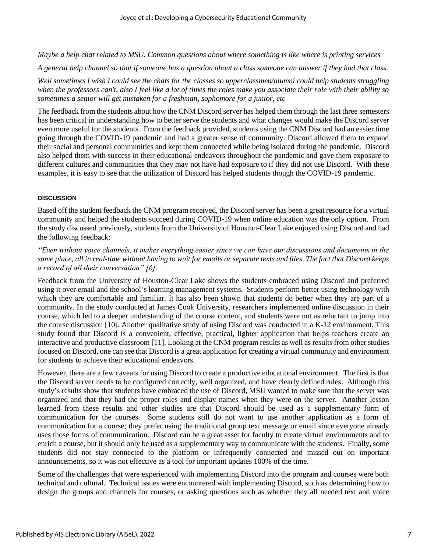*Maybe a help chat related to MSU. Common questions about where something is like where is printing services*

*A general help channel so that if someone has a question about a class someone can answer if they had that class.*

*Well sometimes I wish I could see the chats for the classes so upperclassmen/alumni could help students struggling when the professors can't. also I feel like a lot of times the roles make you associate their role with their ability so sometimes a senior will get mistaken for a freshman, sophomore for a junior, etc*

The feedback from the students about how the CNM Discord server has helped them through the last three semesters has been critical in understanding how to better serve the students and what changes would make the Discord server even more useful for the students. From the feedback provided, students using the CNM Discord had an easier time going through the COVID-19 pandemic and had a greater sense of community. Discord allowed them to expand their social and personal communities and kept them connected while being isolated during the pandemic. Discord also helped them with success in their educational endeavors throughout the pandemic and gave them exposure to different cultures and communities that they may not have had exposure to if they did not use Discord. With these examples, it is easy to see that the utilization of Discord has helped students though the COVID-19 pandemic.

#### **DISCUSSION**

Based off the student feedback the CNM program received, the Discord server has been a great resource for a virtual community and helped the students succeed during COVID-19 when online education was the only option. From the study discussed previously, students from the University of Houston-Clear Lake enjoyed using Discord and had the following feedback:

*"Even without voice channels, it makes everything easier since we can have our discussions and documents in the same place, all in real-time without having to wait for emails or separate texts and files. The fact that Discord keeps a record of all their conversation" [6].*

Feedback from the University of Houston-Clear Lake shows the students embraced using Discord and preferred using it over email and the school's learning management systems. Students perform better using technology with which they are comfortable and familiar. It has also been shown that students do better when they are part of a community. In the study conducted at James Cook University, researchers implemented online discussion in their course, which led to a deeper understanding of the course content, and students were not as reluctant to jump into the course discussion [10]. Another qualitative study of using Discord was conducted in a K-12 environment. This study found that Discord is a convenient, effective, practical, lighter application that helps teachers create an interactive and productive classroom [11]. Looking at the CNM program results as well as results from other studies focused on Discord, one can see that Discord is a great application for creating a virtual community and environment for students to achieve their educational endeavors.

However, there are a few caveats for using Discord to create a productive educational environment. The first is that the Discord server needs to be configured correctly, well organized, and have clearly defined rules. Although this study's results show that students have embraced the use of Discord, MSU wanted to make sure that the server was organized and that they had the proper roles and display names when they were on the server. Another lesson learned from these results and other studies are that Discord should be used as a supplementary form of communication for the courses. Some students still do not want to use another application as a form of communication for a course; they prefer using the traditional group text message or email since everyone already uses those forms of communication. Discord can be a great asset for faculty to create virtual environments and to enrich a course, but it should only be used as a supplementary way to communicate with the students. Finally, some students did not stay connected to the platform or infrequently connected and missed out on important announcements, so it was not effective as a tool for important updates 100% of the time.

Some of the challenges that were experienced with implementing Discord into the program and courses were both technical and cultural. Technical issues were encountered with implementing Discord, such as determining how to design the groups and channels for courses, or asking questions such as whether they all needed text and voice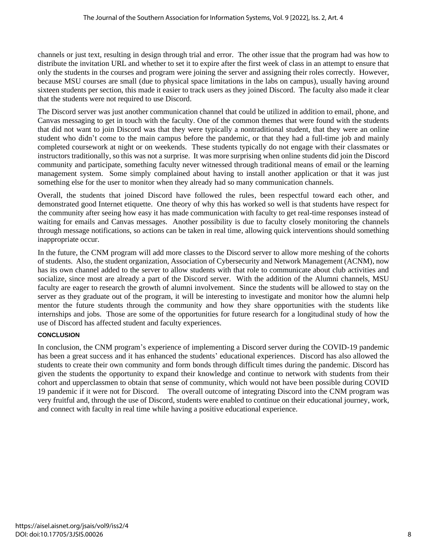channels or just text, resulting in design through trial and error. The other issue that the program had was how to distribute the invitation URL and whether to set it to expire after the first week of class in an attempt to ensure that only the students in the courses and program were joining the server and assigning their roles correctly. However, because MSU courses are small (due to physical space limitations in the labs on campus), usually having around sixteen students per section, this made it easier to track users as they joined Discord. The faculty also made it clear that the students were not required to use Discord.

The Discord server was just another communication channel that could be utilized in addition to email, phone, and Canvas messaging to get in touch with the faculty. One of the common themes that were found with the students that did not want to join Discord was that they were typically a nontraditional student, that they were an online student who didn't come to the main campus before the pandemic, or that they had a full-time job and mainly completed coursework at night or on weekends. These students typically do not engage with their classmates or instructors traditionally, so this was not a surprise. It was more surprising when online students did join the Discord community and participate, something faculty never witnessed through traditional means of email or the learning management system. Some simply complained about having to install another application or that it was just something else for the user to monitor when they already had so many communication channels.

Overall, the students that joined Discord have followed the rules, been respectful toward each other, and demonstrated good Internet etiquette. One theory of why this has worked so well is that students have respect for the community after seeing how easy it has made communication with faculty to get real-time responses instead of waiting for emails and Canvas messages. Another possibility is due to faculty closely monitoring the channels through message notifications, so actions can be taken in real time, allowing quick interventions should something inappropriate occur.

In the future, the CNM program will add more classes to the Discord server to allow more meshing of the cohorts of students. Also, the student organization, Association of Cybersecurity and Network Management (ACNM), now has its own channel added to the server to allow students with that role to communicate about club activities and socialize, since most are already a part of the Discord server. With the addition of the Alumni channels, MSU faculty are eager to research the growth of alumni involvement. Since the students will be allowed to stay on the server as they graduate out of the program, it will be interesting to investigate and monitor how the alumni help mentor the future students through the community and how they share opportunities with the students like internships and jobs. Those are some of the opportunities for future research for a longitudinal study of how the use of Discord has affected student and faculty experiences.

#### **CONCLUSION**

In conclusion, the CNM program's experience of implementing a Discord server during the COVID-19 pandemic has been a great success and it has enhanced the students' educational experiences. Discord has also allowed the students to create their own community and form bonds through difficult times during the pandemic. Discord has given the students the opportunity to expand their knowledge and continue to network with students from their cohort and upperclassmen to obtain that sense of community, which would not have been possible during COVID 19 pandemic if it were not for Discord. The overall outcome of integrating Discord into the CNM program was very fruitful and, through the use of Discord, students were enabled to continue on their educational journey, work, and connect with faculty in real time while having a positive educational experience.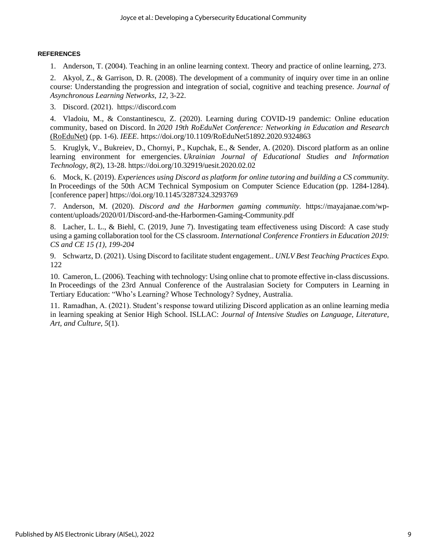#### **REFERENCES**

1. Anderson, T. (2004). Teaching in an online learning context. Theory and practice of online learning, 273.

2. Akyol, Z., & Garrison, D. R. (2008). The development of a community of inquiry over time in an online course: Understanding the progression and integration of social, cognitive and teaching presence. *Journal of Asynchronous Learning Networks, 12*, 3-22.

3. Discord. (2021). https://discord.com

4. Vladoiu, M., & Constantinescu, Z. (2020). Learning during COVID-19 pandemic: Online education community, based on Discord. In *2020 19th RoEduNet Conference: Networking in Education and Research* (RoEduNet) (pp. 1-6). *IEEE*. https://doi.org/10.1109/RoEduNet51892.2020.9324863

5. Kruglyk, V., Bukreiev, D., Chornyi, P., Kupchak, E., & Sender, A. (2020). Discord platform as an online learning environment for emergencies. *Ukrainian Journal of Educational Studies and Information Technology, 8*(2), 13-28. https://doi.org/10.32919/uesit.2020.02.02

6. Mock, K. (2019). *Experiences using Discord as platform for online tutoring and building a CS community.* In Proceedings of the 50th ACM Technical Symposium on Computer Science Education (pp. 1284-1284). [conference paper] https://doi.org/10.1145/3287324.3293769

7. Anderson, M. (2020). *Discord and the Harbormen gaming community.* https://mayajanae.com/wpcontent/uploads/2020/01/Discord-and-the-Harbormen-Gaming-Community.pdf

8. Lacher, L. L., & Biehl, C. (2019, June 7). Investigating team effectiveness using Discord: A case study using a gaming collaboration tool for the CS classroom. *International Conference Frontiers in Education 2019: CS and CE 15 (1), 199-204*

9. Schwartz, D. (2021). Using Discord to facilitate student engagement.. *UNLV Best Teaching Practices Expo.* 122

10. Cameron, L. (2006). Teaching with technology: Using online chat to promote effective in-class discussions. In Proceedings of the 23rd Annual Conference of the Australasian Society for Computers in Learning in Tertiary Education: "Who's Learning? Whose Technology? Sydney, Australia.

11. Ramadhan, A. (2021). Student's response toward utilizing Discord application as an online learning media in learning speaking at Senior High School. ISLLAC: *Journal of Intensive Studies on Language, Literature, Art, and Culture, 5*(1).